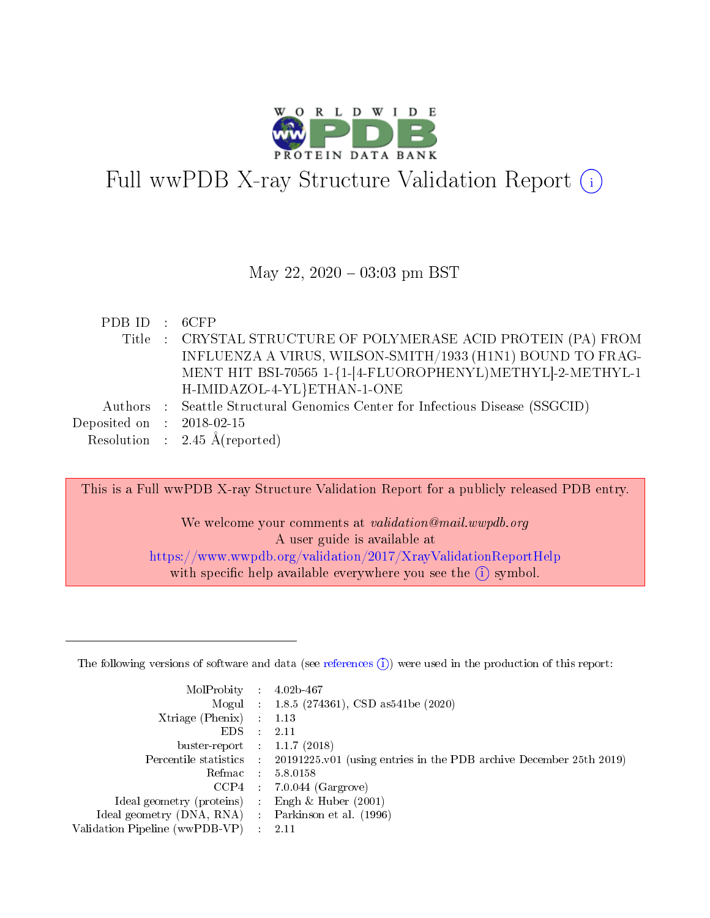

# Full wwPDB X-ray Structure Validation Report  $(i)$

#### May 22,  $2020 - 03:03$  pm BST

| PDB ID : 6CFP               |                                                                              |
|-----------------------------|------------------------------------------------------------------------------|
|                             | Title : CRYSTAL STRUCTURE OF POLYMERASE ACID PROTEIN (PA) FROM               |
|                             | INFLUENZA A VIRUS, WILSON-SMITH/1933 (H1N1) BOUND TO FRAG-                   |
|                             | MENT HIT BSI-70565 1-{1-[4-FLUOROPHENYL)METHYL]-2-METHYL-1                   |
|                             | H-IMIDAZOL-4-YL}ETHAN-1-ONE                                                  |
|                             | Authors : Seattle Structural Genomics Center for Infectious Disease (SSGCID) |
| Deposited on : $2018-02-15$ |                                                                              |
|                             | Resolution : $2.45 \text{ Å}$ (reported)                                     |
|                             |                                                                              |

This is a Full wwPDB X-ray Structure Validation Report for a publicly released PDB entry.

We welcome your comments at *validation@mail.wwpdb.org* A user guide is available at <https://www.wwpdb.org/validation/2017/XrayValidationReportHelp> with specific help available everywhere you see the  $(i)$  symbol.

The following versions of software and data (see [references](https://www.wwpdb.org/validation/2017/XrayValidationReportHelp#references)  $(1)$ ) were used in the production of this report:

| MolProbity :                   |               | $4.02b - 467$                                                               |
|--------------------------------|---------------|-----------------------------------------------------------------------------|
|                                |               | Mogul : $1.8.5$ (274361), CSD as 541be (2020)                               |
| $X$ triage (Phenix) :          |               | 1.13                                                                        |
| EDS.                           |               | 2.11                                                                        |
| buster-report : $1.1.7$ (2018) |               |                                                                             |
| Percentile statistics :        |               | $20191225 \text{v}01$ (using entries in the PDB archive December 25th 2019) |
| Refmac :                       |               | 5.8.0158                                                                    |
| $CCP4$ :                       |               | $7.0.044$ (Gargrove)                                                        |
| Ideal geometry (proteins) :    |               | Engh $\&$ Huber (2001)                                                      |
| Ideal geometry (DNA, RNA) :    |               | Parkinson et al. (1996)                                                     |
| Validation Pipeline (wwPDB-VP) | $\mathcal{L}$ | 2.11                                                                        |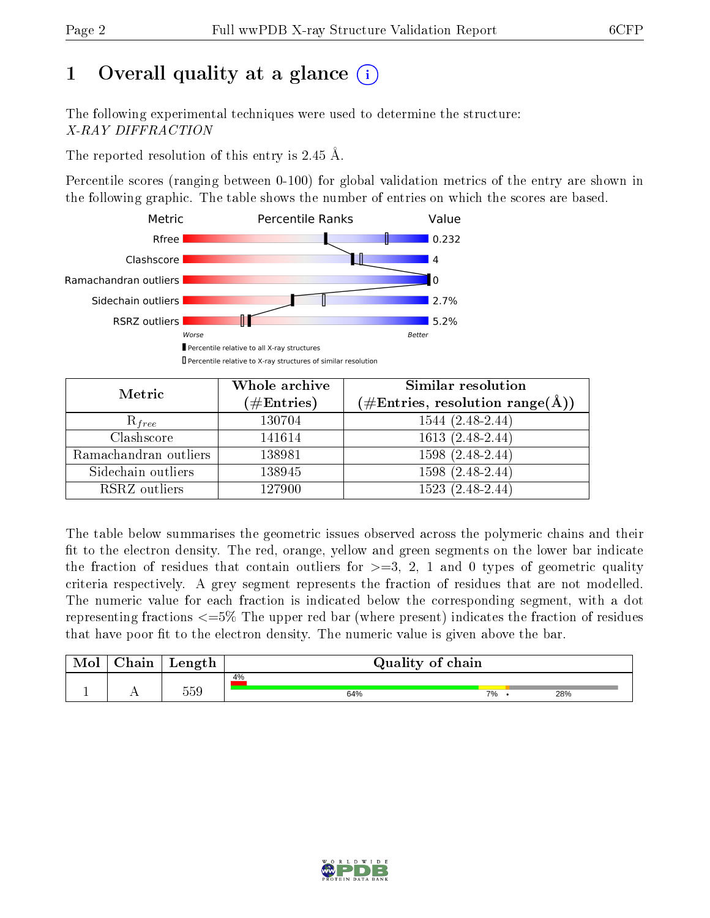# 1 [O](https://www.wwpdb.org/validation/2017/XrayValidationReportHelp#overall_quality)verall quality at a glance  $(i)$

The following experimental techniques were used to determine the structure: X-RAY DIFFRACTION

The reported resolution of this entry is 2.45 Å.

Percentile scores (ranging between 0-100) for global validation metrics of the entry are shown in the following graphic. The table shows the number of entries on which the scores are based.



| Metric                | Whole archive<br>$(\#\text{Entries})$ | Similar resolution<br>$(\#\text{Entries},\, \text{resolution}\; \text{range}(\textup{\AA}))$ |
|-----------------------|---------------------------------------|----------------------------------------------------------------------------------------------|
| $R_{free}$            | 130704                                | $1544(2.48-2.44)$                                                                            |
| Clashscore            | 141614                                | $1613(2.48-2.44)$                                                                            |
| Ramachandran outliers | 138981                                | $1598(2.48-2.44)$                                                                            |
| Sidechain outliers    | 138945                                | $1598(2.48-2.44)$                                                                            |
| RSRZ outliers         | 127900                                | $1523(2.48-2.44)$                                                                            |

The table below summarises the geometric issues observed across the polymeric chains and their fit to the electron density. The red, orange, yellow and green segments on the lower bar indicate the fraction of residues that contain outliers for  $>=3, 2, 1$  and 0 types of geometric quality criteria respectively. A grey segment represents the fraction of residues that are not modelled. The numeric value for each fraction is indicated below the corresponding segment, with a dot representing fractions  $\epsilon=5\%$  The upper red bar (where present) indicates the fraction of residues that have poor fit to the electron density. The numeric value is given above the bar.

| Mol | $\cap$ hain | Length | Quality of chain |    |     |
|-----|-------------|--------|------------------|----|-----|
|     |             | 559    | 4%<br>64%        | 7% | 28% |
| л.  | . .         |        |                  |    |     |

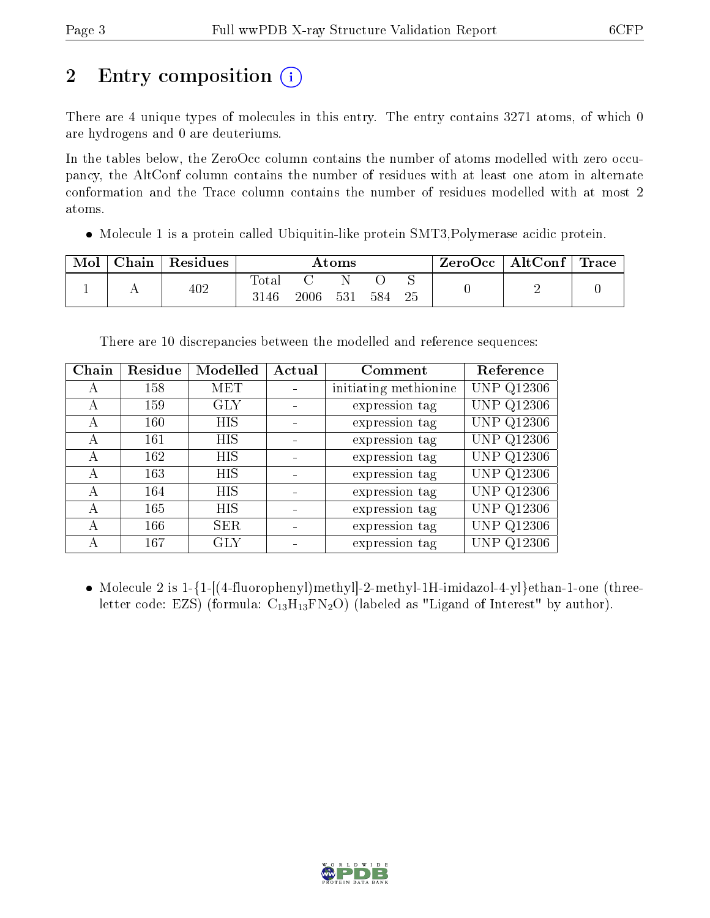# 2 Entry composition  $\binom{1}{1}$

There are 4 unique types of molecules in this entry. The entry contains 3271 atoms, of which 0 are hydrogens and 0 are deuteriums.

In the tables below, the ZeroOcc column contains the number of atoms modelled with zero occupancy, the AltConf column contains the number of residues with at least one atom in alternate conformation and the Trace column contains the number of residues modelled with at most 2 atoms.

• Molecule 1 is a protein called Ubiquitin-like protein SMT3, Polymerase acidic protein.

| Mol | Chain | Residues |               |      | Atoms |     |    | $\mid$ ZeroOcc $\mid$ AltConf $\mid$ Trace |  |
|-----|-------|----------|---------------|------|-------|-----|----|--------------------------------------------|--|
|     |       | 402      | Total<br>3146 | 2006 | 531   | 584 | 25 |                                            |  |

There are 10 discrepancies between the modelled and reference sequences:

| Chain | Residue | Modelled   | Actual | Comment               | Reference         |
|-------|---------|------------|--------|-----------------------|-------------------|
| A     | 158     | <b>MET</b> |        | initiating methionine | <b>UNP Q12306</b> |
| А     | 159     | <b>GLY</b> |        | expression tag        | <b>UNP Q12306</b> |
| А     | 160     | <b>HIS</b> |        | expression tag        | UNP Q12306        |
| A     | 161     | HIS        |        | expression tag        | <b>UNP Q12306</b> |
| А     | 162     | HIS        |        | expression tag        | UNP Q12306        |
| А     | 163     | HIS        |        | expression tag        | <b>UNP Q12306</b> |
| А     | 164     | HIS        |        | expression tag        | <b>UNP Q12306</b> |
| A     | 165     | <b>HIS</b> |        | expression tag        | <b>UNP Q12306</b> |
| А     | 166     | <b>SER</b> |        | expression tag        | <b>UNP Q12306</b> |
|       | 167     | <b>GLY</b> |        | expression tag        | <b>UNP Q12306</b> |

• Molecule 2 is 1-{1-[(4-fluorophenyl)methyl]-2-methyl-1H-imidazol-4-yl}ethan-1-one (threeletter code: EZS) (formula:  $C_{13}H_{13}FN_2O$ ) (labeled as "Ligand of Interest" by author).

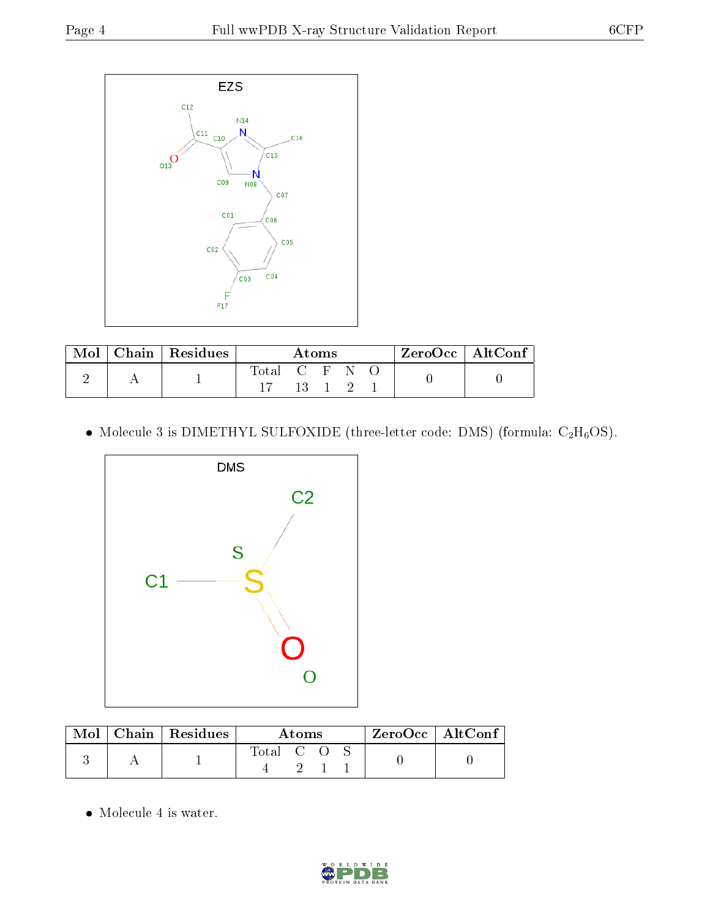

| Mol | Chain   Residues $\overline{ }$ | Atoms       |      |  |  | $\mathsf{ZeroOcc} \mid \mathsf{AltConf} \mid$ |  |  |
|-----|---------------------------------|-------------|------|--|--|-----------------------------------------------|--|--|
|     |                                 | Total C F N |      |  |  |                                               |  |  |
|     |                                 |             | 13 1 |  |  |                                               |  |  |

• Molecule 3 is DIMETHYL SULFOXIDE (three-letter code: DMS) (formula:  $C_2H_6OS$ ).



| Mol | $\vert$ Chain $\vert$ Residues | Atoms     |  |  | $^+$ ZeroOcc $\mid$ AltConf $_+$ |  |
|-----|--------------------------------|-----------|--|--|----------------------------------|--|
|     |                                | Total C O |  |  |                                  |  |

Molecule 4 is water.

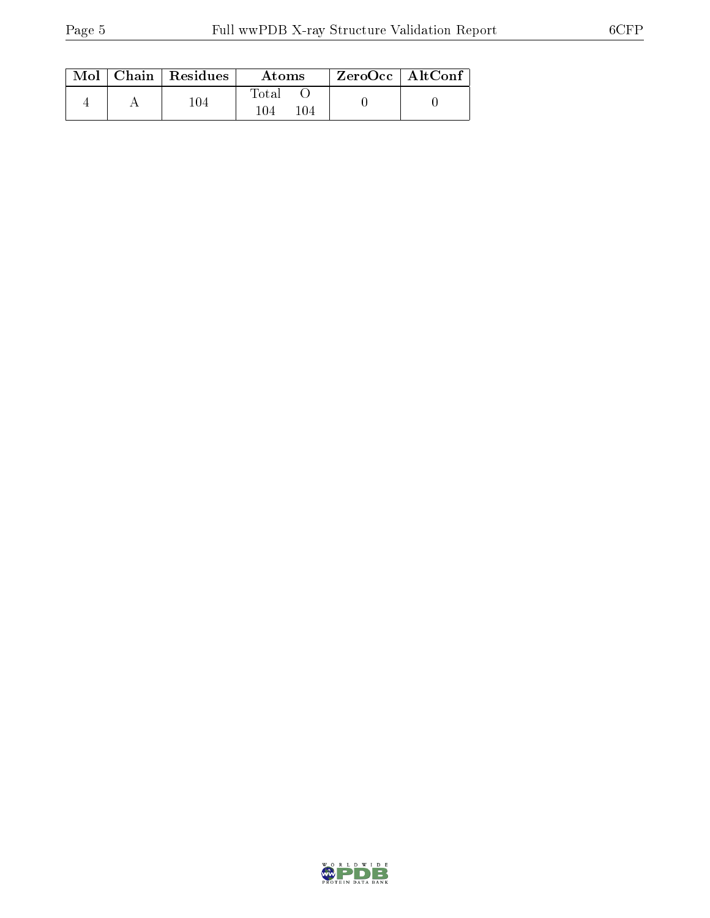|  | Mol   Chain   Residues | Atoms               | $\rm ZeroOcc \mid AltConf$ |  |
|--|------------------------|---------------------|----------------------------|--|
|  | 104                    | Total<br>104<br>104 |                            |  |

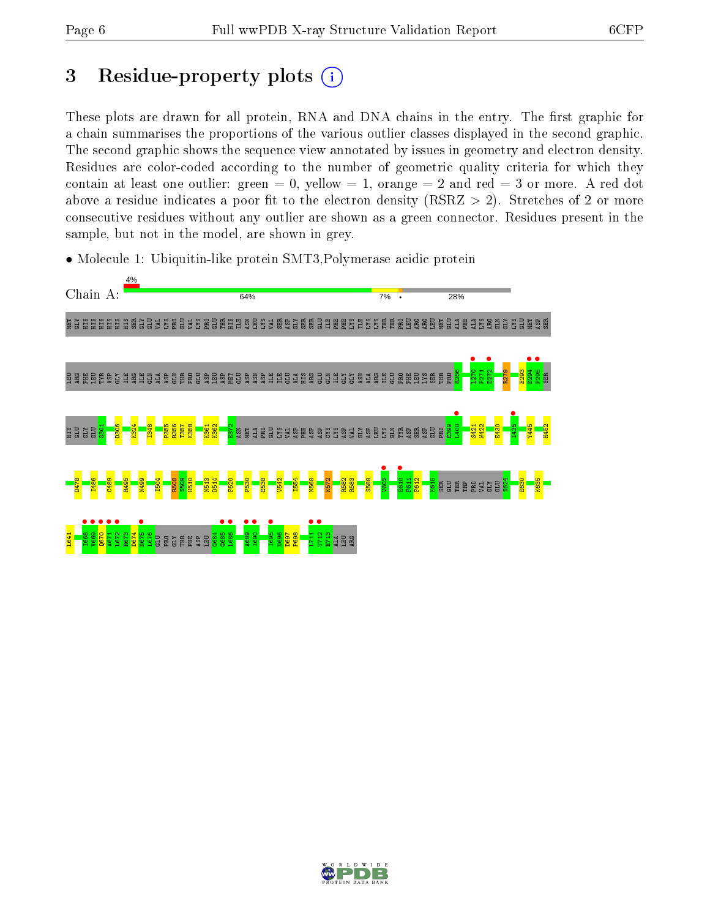# 3 Residue-property plots  $(i)$

These plots are drawn for all protein, RNA and DNA chains in the entry. The first graphic for a chain summarises the proportions of the various outlier classes displayed in the second graphic. The second graphic shows the sequence view annotated by issues in geometry and electron density. Residues are color-coded according to the number of geometric quality criteria for which they contain at least one outlier: green  $= 0$ , yellow  $= 1$ , orange  $= 2$  and red  $= 3$  or more. A red dot above a residue indicates a poor fit to the electron density (RSRZ  $> 2$ ). Stretches of 2 or more consecutive residues without any outlier are shown as a green connector. Residues present in the sample, but not in the model, are shown in grey.

• Molecule 1: Ubiquitin-like protein SMT3,Polymerase acidic protein



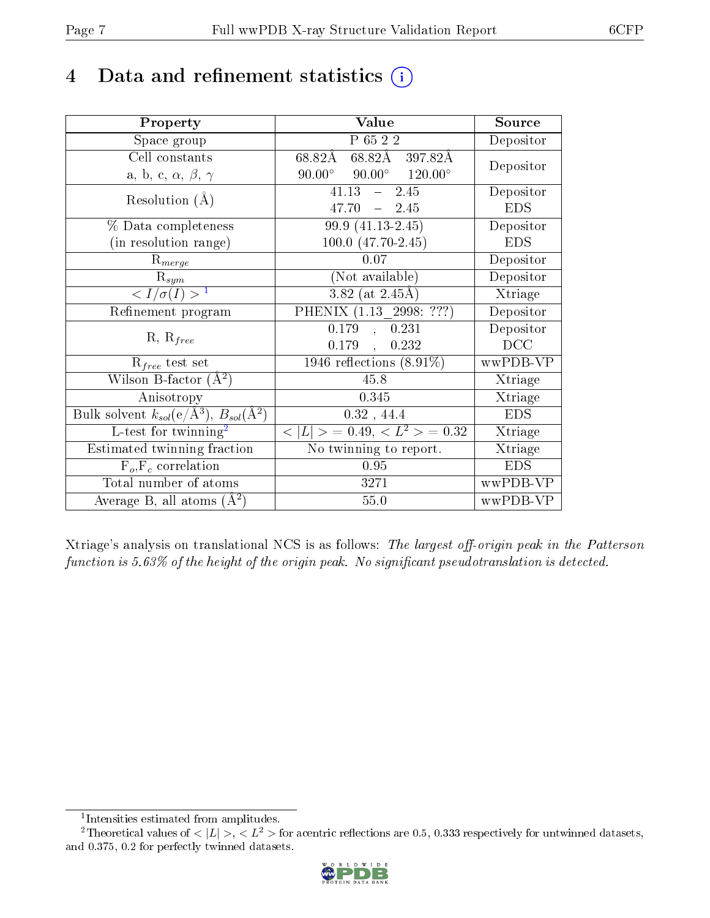## 4 Data and refinement statistics  $(i)$

| Property                                                                 | Value                                            | Source     |
|--------------------------------------------------------------------------|--------------------------------------------------|------------|
| Space group                                                              | P 65 2 2                                         | Depositor  |
| Cell constants                                                           | 68.82Å 397.82Å<br>68.82Å                         | Depositor  |
| a, b, c, $\alpha$ , $\beta$ , $\gamma$                                   | $90.00^{\circ}$ $90.00^{\circ}$ $120.00^{\circ}$ |            |
| Resolution $(A)$                                                         | 2.45<br>41.13<br>$\frac{1}{2}$                   | Depositor  |
|                                                                          | 47.70<br>$-2.45$                                 | <b>EDS</b> |
| % Data completeness                                                      | 99.9 (41.13-2.45)                                | Depositor  |
| (in resolution range)                                                    | 100.0 (47.70-2.45)                               | <b>EDS</b> |
| $R_{merge}$                                                              | 0.07                                             | Depositor  |
| $\mathrm{R}_{sym}$                                                       | (Not available)                                  | Depositor  |
| $\langle I/\sigma(I) \rangle^{-1}$                                       | 3.82 (at $2.45\text{\AA}$ )                      | Xtriage    |
| Refinement program                                                       | PHENIX (1.13 2998: ???)                          | Depositor  |
|                                                                          | , 0.231<br>0.179                                 | Depositor  |
| $R, R_{free}$                                                            | 0.232<br>0.179<br>$\overline{a}$                 | DCC        |
| $R_{free}$ test set                                                      | $1946$ reflections $(8.91\%)$                    | wwPDB-VP   |
| Wilson B-factor $(A^2)$                                                  | 45.8                                             | Xtriage    |
| Anisotropy                                                               | 0.345                                            | Xtriage    |
| Bulk solvent $k_{sol}(\mathrm{e}/\mathrm{A}^3),$ $B_{sol}(\mathrm{A}^2)$ | $0.32$ , 44.4                                    | <b>EDS</b> |
| L-test for twinning <sup>2</sup>                                         | $< L >$ = 0.49, $< L^2 >$ = 0.32                 | Xtriage    |
| Estimated twinning fraction                                              | $\overline{\text{No}}$ twinning to report.       | Xtriage    |
| $F_o, F_c$ correlation                                                   | 0.95                                             | <b>EDS</b> |
| Total number of atoms                                                    | 3271                                             | wwPDB-VP   |
| Average B, all atoms $(A^2)$                                             | 55.0                                             | wwPDB-VP   |

Xtriage's analysis on translational NCS is as follows: The largest off-origin peak in the Patterson function is  $5.63\%$  of the height of the origin peak. No significant pseudotranslation is detected.

<sup>&</sup>lt;sup>2</sup>Theoretical values of  $\langle |L| \rangle$ ,  $\langle L^2 \rangle$  for acentric reflections are 0.5, 0.333 respectively for untwinned datasets, and 0.375, 0.2 for perfectly twinned datasets.



<span id="page-6-1"></span><span id="page-6-0"></span><sup>1</sup> Intensities estimated from amplitudes.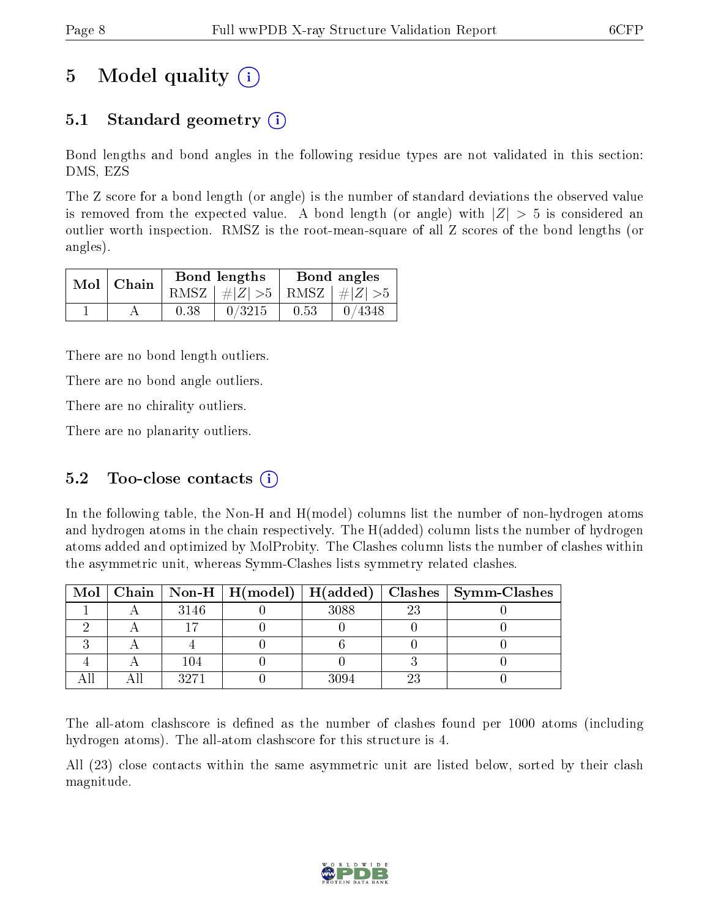## 5 Model quality  $(i)$

### 5.1 Standard geometry  $(i)$

Bond lengths and bond angles in the following residue types are not validated in this section: DMS, EZS

The Z score for a bond length (or angle) is the number of standard deviations the observed value is removed from the expected value. A bond length (or angle) with  $|Z| > 5$  is considered an outlier worth inspection. RMSZ is the root-mean-square of all Z scores of the bond lengths (or angles).

| $Mol$ Chain |      | Bond lengths                    | Bond angles |                   |  |
|-------------|------|---------------------------------|-------------|-------------------|--|
|             |      | RMSZ $ #Z  > 5$ RMSZ $ #Z  > 5$ |             |                   |  |
|             | 0.38 | 0/3215                          | 0.53        | $\binom{0}{4348}$ |  |

There are no bond length outliers.

There are no bond angle outliers.

There are no chirality outliers.

There are no planarity outliers.

#### 5.2 Too-close contacts  $(i)$

In the following table, the Non-H and H(model) columns list the number of non-hydrogen atoms and hydrogen atoms in the chain respectively. The H(added) column lists the number of hydrogen atoms added and optimized by MolProbity. The Clashes column lists the number of clashes within the asymmetric unit, whereas Symm-Clashes lists symmetry related clashes.

|  |      |      |    | Mol   Chain   Non-H   H(model)   H(added)   Clashes   Symm-Clashes |
|--|------|------|----|--------------------------------------------------------------------|
|  | 3146 | 3088 | 23 |                                                                    |
|  |      |      |    |                                                                    |
|  |      |      |    |                                                                    |
|  | 104  |      |    |                                                                    |
|  | 3271 | 3094 |    |                                                                    |

The all-atom clashscore is defined as the number of clashes found per 1000 atoms (including hydrogen atoms). The all-atom clashscore for this structure is 4.

All (23) close contacts within the same asymmetric unit are listed below, sorted by their clash magnitude.

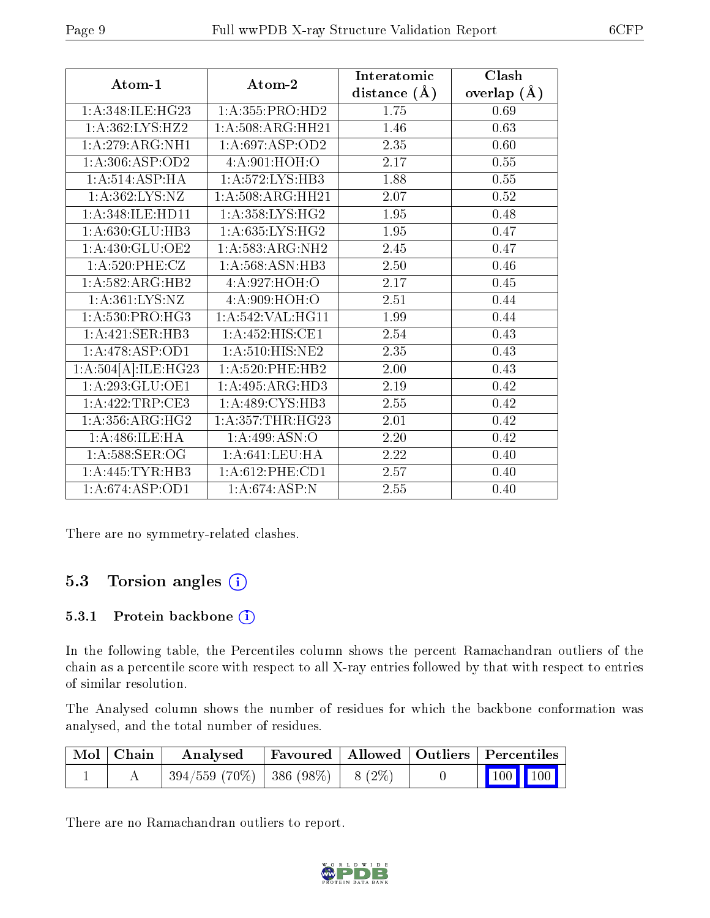|                                 |                                 | Interatomic    | Clash          |
|---------------------------------|---------------------------------|----------------|----------------|
| Atom-1                          | Atom-2                          | distance $(A)$ | (A)<br>overlap |
| 1:A:348:ILE:HG23                | 1:A:355:PRO:HD2                 | 1.75           | 0.69           |
| 1:A:362:LYS:HZ2                 | 1:A:508:ARG:HH21                | 1.46           | 0.63           |
| 1:A:279:ARG:NH1                 | 1:A:697:ASP:OD2                 | 2.35           | 0.60           |
| 1: A:306: ASP:OD2               | 4: A:901: HOH:O                 | 2.17           | 0.55           |
| 1: A:514: ASP: HA               | 1:A:572:LYS:HB3                 | 1.88           | 0.55           |
| 1: A: 362: LYS: NZ              | 1: A:508:ARG:HH21               | 2.07           | 0.52           |
| 1: A:348: ILE: HDI1             | 1:A:358:LYS:HG2                 | 1.95           | 0.48           |
| 1:A:630:GLU:HB3                 | 1: A:635: LYS: HG2              | 1.95           | 0.47           |
| 1: A:430: GLU:OE2               | 1: A: 583: ARG: NH2             | 2.45           | 0.47           |
| 1: A:520: PHE: CZ               | 1: A:568: ASN:HB3               | 2.50           | 0.46           |
| $1:A:582:ARG:\overline{H}B2$    | 4:A:927:HOH:O                   | 2.17           | 0.45           |
| 1: A:361: LYS:NZ                | 4: A:909:HOH:O                  | 2.51           | 0.44           |
| $1: A:530: PRO: \overline{HG3}$ | 1:A:542:VAL:HG11                | 1.99           | 0.44           |
| 1: A:421: SER:HB3               | 1:A:452:HIS:CE1                 | 2.54           | 0.43           |
| 1:A:478:ASP:OD1                 | $1: A:510: HIS: \overline{NE2}$ | 2.35           | 0.43           |
| 1:A:504[A]:ILE:HG23             | $1: A:520:$ PHE:HB2             | 2.00           | 0.43           |
| 1: A:293: GLU:OE1               | 1:A:495:ARG:HD3                 | 2.19           | 0.42           |
| 1:A:422:TRP:CE3                 | 1: A:489: CYS:HB3               | 2.55           | 0.42           |
| 1: A: 356: ARG: HG2             | 1: A: 357: THR: HG23            | 2.01           | 0.42           |
| 1: A:486: ILE: HA               | 1:A:499:ASN:O                   | 2.20           | 0.42           |
| $1: A:588$ : SER: OG            | 1: A:641:LEU:HA                 | 2.22           | 0.40           |
| 1:A:445:TYR:HB3                 | $1: A:612:$ PHE:CD1             | 2.57           | 0.40           |
| 1: A:674: ASP:OD1               | 1:A:674:ASP:N                   | 2.55           | 0.40           |

There are no symmetry-related clashes.

#### 5.3 Torsion angles (i)

#### 5.3.1 Protein backbone (i)

In the following table, the Percentiles column shows the percent Ramachandran outliers of the chain as a percentile score with respect to all X-ray entries followed by that with respect to entries of similar resolution.

The Analysed column shows the number of residues for which the backbone conformation was analysed, and the total number of residues.

| Mol   Chain | Analysed                             |  | Favoured   Allowed   Outliers   Percentiles                |  |
|-------------|--------------------------------------|--|------------------------------------------------------------|--|
|             | $394/559$ (70%)   386 (98%)   8 (2%) |  | $\begin{array}{ c c c c }\n\hline\n100 & 100\n\end{array}$ |  |

There are no Ramachandran outliers to report.

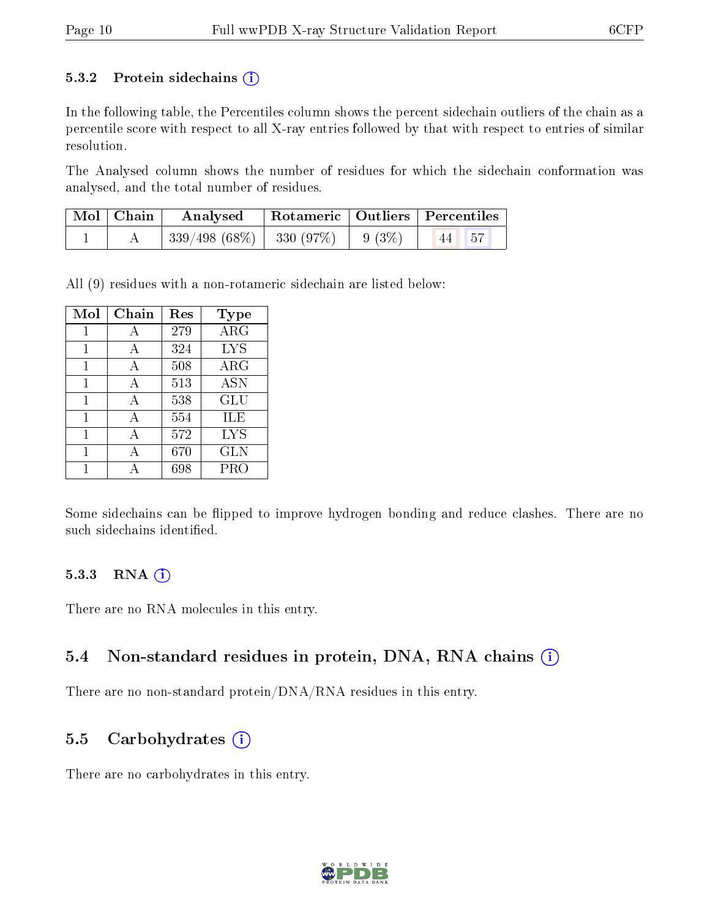#### 5.3.2 Protein sidechains  $(i)$

In the following table, the Percentiles column shows the percent sidechain outliers of the chain as a percentile score with respect to all X-ray entries followed by that with respect to entries of similar resolution.

The Analysed column shows the number of residues for which the sidechain conformation was analysed, and the total number of residues.

| Mol   Chain | Analysed                           | Rotameric   Outliers   Percentiles |           |  |
|-------------|------------------------------------|------------------------------------|-----------|--|
|             | $339/498(68\%)$ 330 (97\%) 9 (3\%) |                                    | $ 44 $ 57 |  |

All (9) residues with a non-rotameric sidechain are listed below:

| Mol | Chain | Res | <b>Type</b> |
|-----|-------|-----|-------------|
| 1   | А     | 279 | $\rm{ARG}$  |
|     | А     | 324 | <b>LYS</b>  |
| 1   | А     | 508 | $\rm{ARG}$  |
| 1   | А     | 513 | <b>ASN</b>  |
| 1   | А     | 538 | <b>GLU</b>  |
| 1   | А     | 554 | ILE         |
| 1   | А     | 572 | <b>LYS</b>  |
| 1   | А     | 670 | <b>GLN</b>  |
|     |       | 698 | PRO         |

Some sidechains can be flipped to improve hydrogen bonding and reduce clashes. There are no such sidechains identified.

#### $5.3.3$  RNA  $(i)$

There are no RNA molecules in this entry.

#### 5.4 Non-standard residues in protein, DNA, RNA chains  $(i)$

There are no non-standard protein/DNA/RNA residues in this entry.

#### 5.5 Carbohydrates  $(i)$

There are no carbohydrates in this entry.

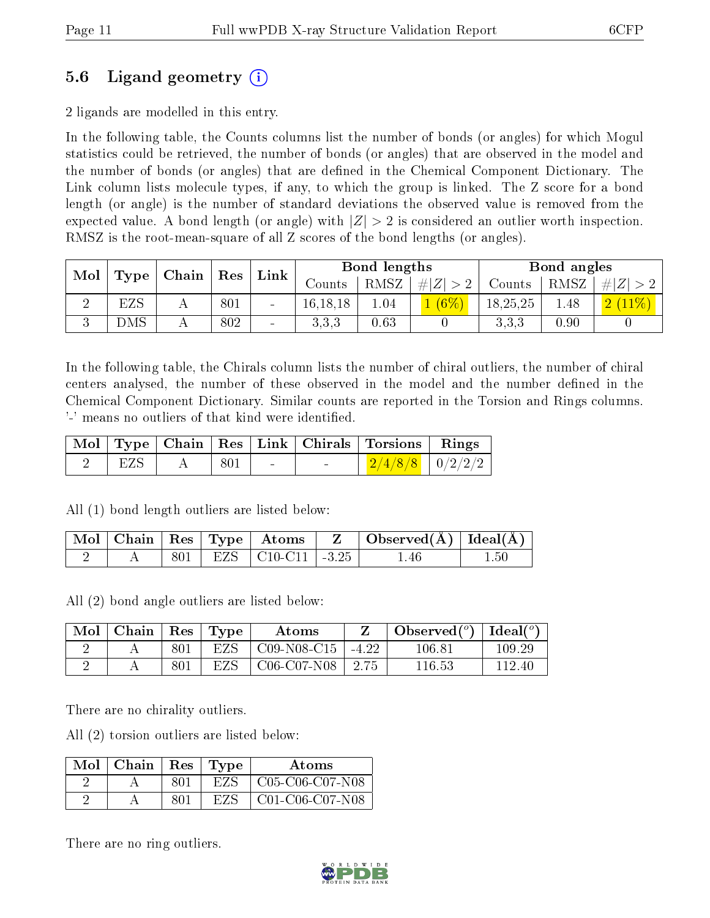### 5.6 Ligand geometry (i)

2 ligands are modelled in this entry.

In the following table, the Counts columns list the number of bonds (or angles) for which Mogul statistics could be retrieved, the number of bonds (or angles) that are observed in the model and the number of bonds (or angles) that are dened in the Chemical Component Dictionary. The Link column lists molecule types, if any, to which the group is linked. The Z score for a bond length (or angle) is the number of standard deviations the observed value is removed from the expected value. A bond length (or angle) with  $|Z| > 2$  is considered an outlier worth inspection. RMSZ is the root-mean-square of all Z scores of the bond lengths (or angles).

| Mol<br>Type |               | $\mid$ Chain $\mid$ Res |     | Link |            | Bond lengths |             |          | Bond angles |            |
|-------------|---------------|-------------------------|-----|------|------------|--------------|-------------|----------|-------------|------------|
|             |               |                         |     |      | Counts     | $RMSZ_1$     | # $ Z  > 2$ | Counts   | RMSZ        | $+ Z  > 2$ |
|             | EZS           |                         | 801 |      | 16, 18, 18 | 1.04         | $(6\%)$     | 18,25,25 | 1.48        | (2(11%)    |
|             | $_{\rm{DNS}}$ |                         | 802 |      | 3.3.3      | 0.63         |             | 3.3,3    | 0.90        |            |

In the following table, the Chirals column lists the number of chiral outliers, the number of chiral centers analysed, the number of these observed in the model and the number defined in the Chemical Component Dictionary. Similar counts are reported in the Torsion and Rings columns. '-' means no outliers of that kind were identified.

|          |                               |  |                | Mol   Type   Chain   Res   Link   Chirals   Torsions   Rings |  |
|----------|-------------------------------|--|----------------|--------------------------------------------------------------|--|
| $'$ EZS. | $A \parallel 801 \parallel -$ |  | <b>Section</b> | $\frac{2}{4/8}$   0/2/2/2                                    |  |

All (1) bond length outliers are listed below:

|  |  |                               | $\mid$ Mol $\mid$ Chain $\mid$ Res $\mid$ Type $\mid$ Atoms $\mid$ Z $\mid$ Observed(A) $\mid$ Ideal(A) $\mid$ |     |
|--|--|-------------------------------|----------------------------------------------------------------------------------------------------------------|-----|
|  |  | $801$   EZS   C10-C11   -3.25 | .46                                                                                                            | .50 |

All (2) bond angle outliers are listed below:

| Mol | Chain | $\operatorname{Res}$ | Type | Atoms         |         | Observed $(°)$ | Ideal $(°)$ |
|-----|-------|----------------------|------|---------------|---------|----------------|-------------|
|     |       | 801                  | EZS  | $C09-N08-C15$ | $-4.22$ | $106.81\,$     | $109.29\,$  |
| ∼   |       |                      | EZS  | $C06-C07-N08$ | 2.75    | $116.53\,$     | 112.40      |

There are no chirality outliers.

All (2) torsion outliers are listed below:

| Mol | Chain | Res | Type | Atoms                         |
|-----|-------|-----|------|-------------------------------|
|     |       | 801 | EZS  | $C05-C06-C07-N08$             |
|     |       | 801 | EZS. | $C01-C06-C07$ N <sub>08</sub> |

There are no ring outliers.

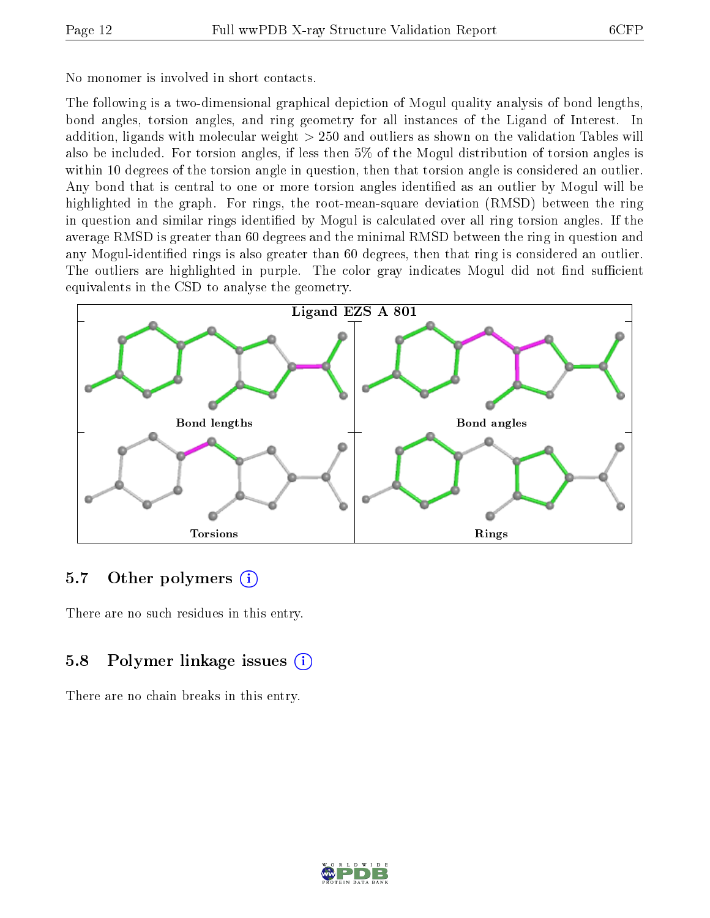No monomer is involved in short contacts.

The following is a two-dimensional graphical depiction of Mogul quality analysis of bond lengths, bond angles, torsion angles, and ring geometry for all instances of the Ligand of Interest. In addition, ligands with molecular weight > 250 and outliers as shown on the validation Tables will also be included. For torsion angles, if less then 5% of the Mogul distribution of torsion angles is within 10 degrees of the torsion angle in question, then that torsion angle is considered an outlier. Any bond that is central to one or more torsion angles identified as an outlier by Mogul will be highlighted in the graph. For rings, the root-mean-square deviation (RMSD) between the ring in question and similar rings identified by Mogul is calculated over all ring torsion angles. If the average RMSD is greater than 60 degrees and the minimal RMSD between the ring in question and any Mogul-identified rings is also greater than 60 degrees, then that ring is considered an outlier. The outliers are highlighted in purple. The color gray indicates Mogul did not find sufficient equivalents in the CSD to analyse the geometry.



#### 5.7 [O](https://www.wwpdb.org/validation/2017/XrayValidationReportHelp#nonstandard_residues_and_ligands)ther polymers  $(i)$

There are no such residues in this entry.

### 5.8 Polymer linkage issues  $(i)$

There are no chain breaks in this entry.

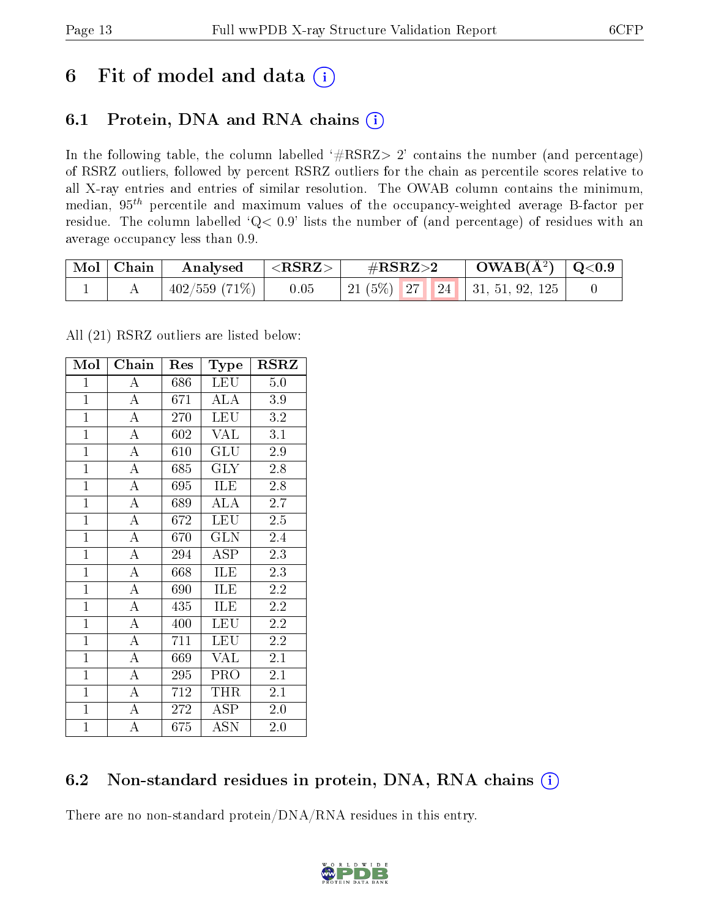## 6 Fit of model and data  $(i)$

### 6.1 Protein, DNA and RNA chains  $(i)$

In the following table, the column labelled  $#RSRZ> 2'$  contains the number (and percentage) of RSRZ outliers, followed by percent RSRZ outliers for the chain as percentile scores relative to all X-ray entries and entries of similar resolution. The OWAB column contains the minimum, median,  $95<sup>th</sup>$  percentile and maximum values of the occupancy-weighted average B-factor per residue. The column labelled ' $Q< 0.9$ ' lists the number of (and percentage) of residues with an average occupancy less than 0.9.

| $\mid$ Mol $\mid$ Chain | Analysed          | $  <$ RSRZ $>$ . | $\#\text{RSRZ}{>}2$ |  | $\text{OWAB}(\text{A}^2) \mid \text{Q}<0.9$ |  |
|-------------------------|-------------------|------------------|---------------------|--|---------------------------------------------|--|
|                         | $ 402/559(71\%) $ | 0.05             |                     |  | 21 (5%)   27   24   31, 51, 92, 125         |  |

All (21) RSRZ outliers are listed below:

| $\overline{\text{Mol}}$ | $\overline{\text{Chain}}$ | Res | Type                    | <b>RSRZ</b>      |
|-------------------------|---------------------------|-----|-------------------------|------------------|
| $\mathbf{1}$            | A                         | 686 | <b>LEU</b>              | 5.0              |
| $\overline{1}$          | $\overline{\rm A}$        | 671 | <b>ALA</b>              | 3.9              |
| $\overline{1}$          | $\overline{A}$            | 270 | <b>LEU</b>              | 3.2              |
| $\mathbf{1}$            | $\overline{\rm A}$        | 602 | <b>VAL</b>              | $\overline{3.1}$ |
| $\overline{1}$          | $\overline{\rm A}$        | 610 | GLU                     | 2.9              |
| $\overline{1}$          | $\overline{\rm A}$        | 685 | <b>GLY</b>              | 2.8              |
| $\mathbf{1}$            | $\overline{\rm A}$        | 695 | <b>ILE</b>              | 2.8              |
| $\overline{1}$          | $\overline{\rm A}$        | 689 | <b>ALA</b>              | 2.7              |
| $\overline{1}$          | $\overline{\rm A}$        | 672 | <b>LEU</b>              | 2.5              |
| $\overline{1}$          | $\overline{\rm A}$        | 670 | $\overline{\text{GLN}}$ | 2.4              |
| $\mathbf{1}$            | $\overline{\rm A}$        | 294 | <b>ASP</b>              | $2.3\,$          |
| $\overline{1}$          | $\overline{\rm A}$        | 668 | ILE                     | 2.3              |
| $\overline{1}$          | $\overline{\rm A}$        | 690 | ILE                     | 2.2              |
| $\overline{1}$          | $\overline{\rm A}$        | 435 | ILE                     | 2.2              |
| $\overline{1}$          | $\overline{\rm A}$        | 400 | <b>LEU</b>              | 2.2              |
| $\overline{1}$          | $\overline{A}$            | 711 | LEU                     | 2.2              |
| $\overline{1}$          | $\overline{\rm A}$        | 669 | <b>VAL</b>              | $2.1\,$          |
| $\mathbf{1}$            | $\boldsymbol{A}$          | 295 | PRO                     | 2.1              |
| $\overline{1}$          | $\overline{\rm A}$        | 712 | THR                     | 2.1              |
| $\mathbf{1}$            | $\overline{\rm A}$        | 272 | <b>ASP</b>              | 2.0              |
| $\overline{1}$          | A                         | 675 | <b>ASN</b>              | 2.0              |

### 6.2 Non-standard residues in protein, DNA, RNA chains (i)

There are no non-standard protein/DNA/RNA residues in this entry.

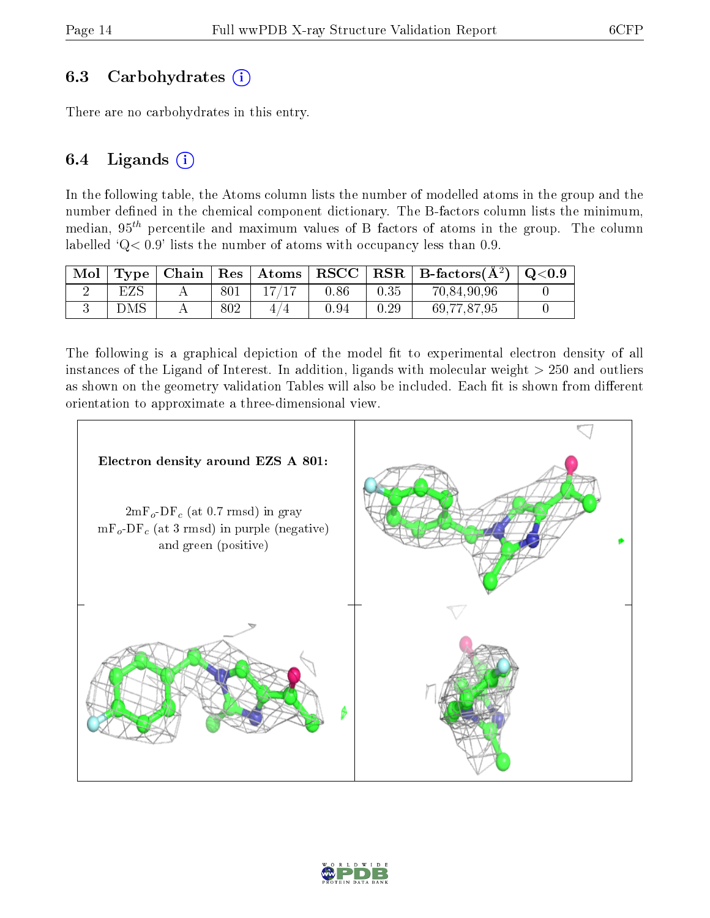#### 6.3 Carbohydrates  $(i)$

There are no carbohydrates in this entry.

#### 6.4 Ligands  $(i)$

In the following table, the Atoms column lists the number of modelled atoms in the group and the number defined in the chemical component dictionary. The B-factors column lists the minimum, median,  $95<sup>th</sup>$  percentile and maximum values of B factors of atoms in the group. The column labelled  $Q < 0.9$ ' lists the number of atoms with occupancy less than 0.9.

| Mol | Type <sub>1</sub> | . Chain∣ | $\mid$ Res $\mid$ | $\mid$ Atoms | RSCC     |      | $RSR \mid$ B-factors( $\AA^2$ ) | $\mathrm{Q}{<}0.9$ |
|-----|-------------------|----------|-------------------|--------------|----------|------|---------------------------------|--------------------|
|     | $_{\rm EZS}$      |          | 801               |              | 0.86     | 0.35 | 70,84,90,96                     |                    |
|     | DMS               |          | 802               |              | $0.94\,$ | 0.29 | 69,77,87,95                     |                    |

The following is a graphical depiction of the model fit to experimental electron density of all instances of the Ligand of Interest. In addition, ligands with molecular weight  $> 250$  and outliers as shown on the geometry validation Tables will also be included. Each fit is shown from different orientation to approximate a three-dimensional view.